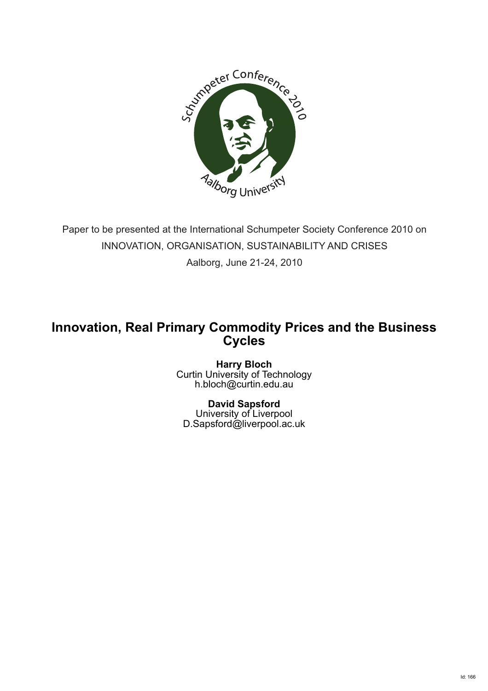

Paper to be presented at the International Schumpeter Society Conference 2010 on INNOVATION, ORGANISATION, SUSTAINABILITY AND CRISES Aalborg, June 21-24, 2010

# **Innovation, Real Primary Commodity Prices and the Business Cycles**

**Harry Bloch** Curtin University of Technology h.bloch@curtin.edu.au

# **David Sapsford**

University of Liverpool D.Sapsford@liverpool.ac.uk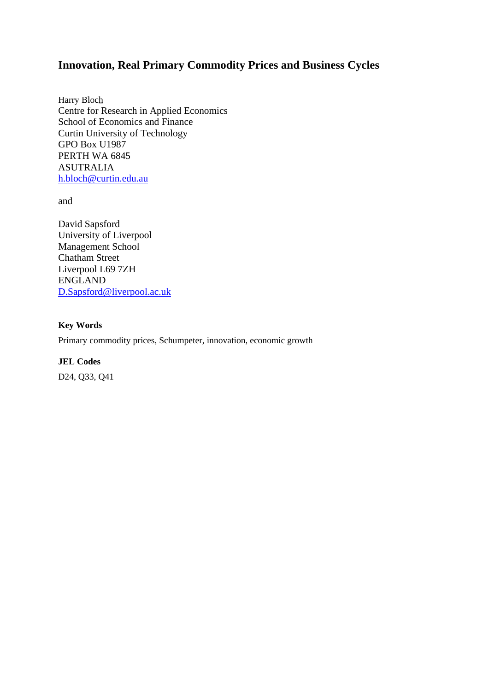# **Innovation, Real Primary Commodity Prices and Business Cycles**

Harry Bloch Centre for Research in Applied Economics School of Economics and Finance Curtin University of Technology GPO Box U1987 PERTH WA 6845 ASUTRALIA [h.bloch@curtin.edu.au](mailto:h.bloch@curtin.edu.au)

and

David Sapsford University of Liverpool Management School Chatham Street Liverpool L69 7ZH ENGLAND [D.Sapsford@liverpool.ac.uk](mailto:D.Sapsford@liverpool.ac.uk)

# **Key Words**

Primary commodity prices, Schumpeter, innovation, economic growth

**JEL Codes** 

D24, Q33, Q41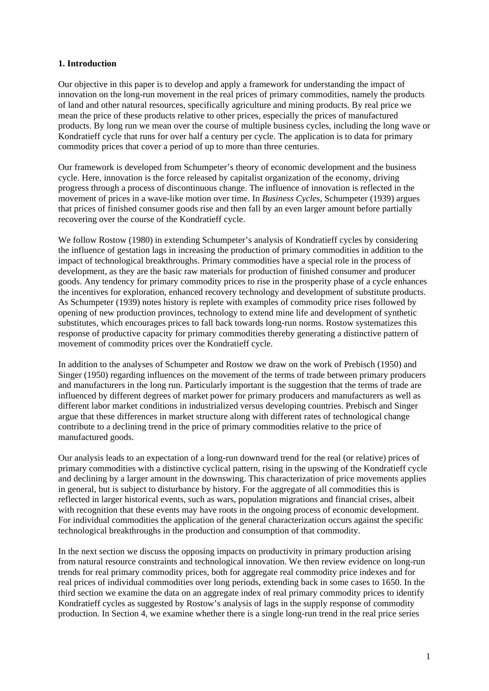#### **1. Introduction**

Our objective in this paper is to develop and apply a framework for understanding the impact of innovation on the long-run movement in the real prices of primary commodities, namely the products of land and other natural resources, specifically agriculture and mining products. By real price we mean the price of these products relative to other prices, especially the prices of manufactured products. By long run we mean over the course of multiple business cycles, including the long wave or Kondratieff cycle that runs for over half a century per cycle. The application is to data for primary commodity prices that cover a period of up to more than three centuries.

Our framework is developed from Schumpeter's theory of economic development and the business cycle. Here, innovation is the force released by capitalist organization of the economy, driving progress through a process of discontinuous change. The influence of innovation is reflected in the movement of prices in a wave-like motion over time. In *Business Cycles*, Schumpeter (1939) argues that prices of finished consumer goods rise and then fall by an even larger amount before partially recovering over the course of the Kondratieff cycle.

We follow Rostow (1980) in extending Schumpeter's analysis of Kondratieff cycles by considering the influence of gestation lags in increasing the production of primary commodities in addition to the impact of technological breakthroughs. Primary commodities have a special role in the process of development, as they are the basic raw materials for production of finished consumer and producer goods. Any tendency for primary commodity prices to rise in the prosperity phase of a cycle enhances the incentives for exploration, enhanced recovery technology and development of substitute products. As Schumpeter (1939) notes history is replete with examples of commodity price rises followed by opening of new production provinces, technology to extend mine life and development of synthetic substitutes, which encourages prices to fall back towards long-run norms. Rostow systematizes this response of productive capacity for primary commodities thereby generating a distinctive pattern of movement of commodity prices over the Kondratieff cycle.

In addition to the analyses of Schumpeter and Rostow we draw on the work of Prebisch (1950) and Singer (1950) regarding influences on the movement of the terms of trade between primary producers and manufacturers in the long run. Particularly important is the suggestion that the terms of trade are influenced by different degrees of market power for primary producers and manufacturers as well as different labor market conditions in industrialized versus developing countries. Prebisch and Singer argue that these differences in market structure along with different rates of technological change contribute to a declining trend in the price of primary commodities relative to the price of manufactured goods.

Our analysis leads to an expectation of a long-run downward trend for the real (or relative) prices of primary commodities with a distinctive cyclical pattern, rising in the upswing of the Kondratieff cycle and declining by a larger amount in the downswing. This characterization of price movements applies in general, but is subject to disturbance by history. For the aggregate of all commodities this is reflected in larger historical events, such as wars, population migrations and financial crises, albeit with recognition that these events may have roots in the ongoing process of economic development. For individual commodities the application of the general characterization occurs against the specific technological breakthroughs in the production and consumption of that commodity.

In the next section we discuss the opposing impacts on productivity in primary production arising from natural resource constraints and technological innovation. We then review evidence on long-run trends for real primary commodity prices, both for aggregate real commodity price indexes and for real prices of individual commodities over long periods, extending back in some cases to 1650. In the third section we examine the data on an aggregate index of real primary commodity prices to identify Kondratieff cycles as suggested by Rostow's analysis of lags in the supply response of commodity production. In Section 4, we examine whether there is a single long-run trend in the real price series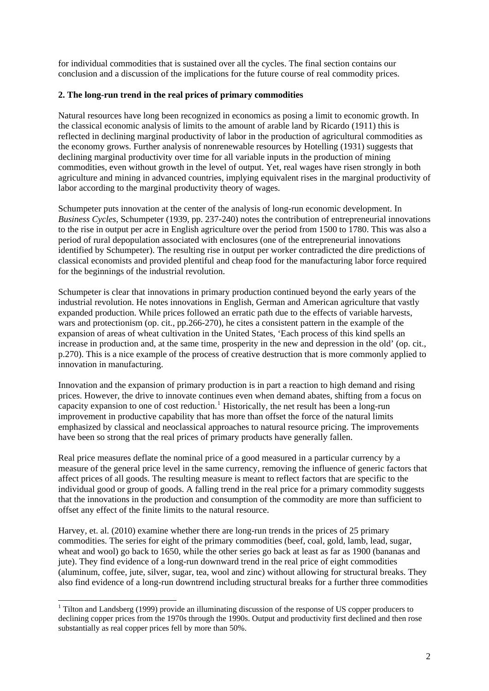for individual commodities that is sustained over all the cycles. The final section contains our conclusion and a discussion of the implications for the future course of real commodity prices.

#### **2. The long-run trend in the real prices of primary commodities**

Natural resources have long been recognized in economics as posing a limit to economic growth. In the classical economic analysis of limits to the amount of arable land by Ricardo (1911) this is reflected in declining marginal productivity of labor in the production of agricultural commodities as the economy grows. Further analysis of nonrenewable resources by Hotelling (1931) suggests that declining marginal productivity over time for all variable inputs in the production of mining commodities, even without growth in the level of output. Yet, real wages have risen strongly in both agriculture and mining in advanced countries, implying equivalent rises in the marginal productivity of labor according to the marginal productivity theory of wages.

Schumpeter puts innovation at the center of the analysis of long-run economic development. In *Business Cycles*, Schumpeter (1939, pp. 237-240) notes the contribution of entrepreneurial innovations to the rise in output per acre in English agriculture over the period from 1500 to 1780. This was also a period of rural depopulation associated with enclosures (one of the entrepreneurial innovations identified by Schumpeter). The resulting rise in output per worker contradicted the dire predictions of classical economists and provided plentiful and cheap food for the manufacturing labor force required for the beginnings of the industrial revolution.

Schumpeter is clear that innovations in primary production continued beyond the early years of the industrial revolution. He notes innovations in English, German and American agriculture that vastly expanded production. While prices followed an erratic path due to the effects of variable harvests, wars and protectionism (op. cit., pp.266-270), he cites a consistent pattern in the example of the expansion of areas of wheat cultivation in the United States, 'Each process of this kind spells an increase in production and, at the same time, prosperity in the new and depression in the old' (op. cit., p.270). This is a nice example of the process of creative destruction that is more commonly applied to innovation in manufacturing.

Innovation and the expansion of primary production is in part a reaction to high demand and rising prices. However, the drive to innovate continues even when demand abates, shifting from a focus on capacity expansion to one of cost reduction.<sup>[1](#page-3-0)</sup> Historically, the net result has been a long-run improvement in productive capability that has more than offset the force of the natural limits emphasized by classical and neoclassical approaches to natural resource pricing. The improvements have been so strong that the real prices of primary products have generally fallen.

Real price measures deflate the nominal price of a good measured in a particular currency by a measure of the general price level in the same currency, removing the influence of generic factors that affect prices of all goods. The resulting measure is meant to reflect factors that are specific to the individual good or group of goods. A falling trend in the real price for a primary commodity suggests that the innovations in the production and consumption of the commodity are more than sufficient to offset any effect of the finite limits to the natural resource.

Harvey, et. al. (2010) examine whether there are long-run trends in the prices of 25 primary commodities. The series for eight of the primary commodities (beef, coal, gold, lamb, lead, sugar, wheat and wool) go back to 1650, while the other series go back at least as far as 1900 (bananas and jute). They find evidence of a long-run downward trend in the real price of eight commodities (aluminum, coffee, jute, silver, sugar, tea, wool and zinc) without allowing for structural breaks. They also find evidence of a long-run downtrend including structural breaks for a further three commodities

1

<span id="page-3-0"></span><sup>&</sup>lt;sup>1</sup> Tilton and Landsberg (1999) provide an illuminating discussion of the response of US copper producers to declining copper prices from the 1970s through the 1990s. Output and productivity first declined and then rose substantially as real copper prices fell by more than 50%.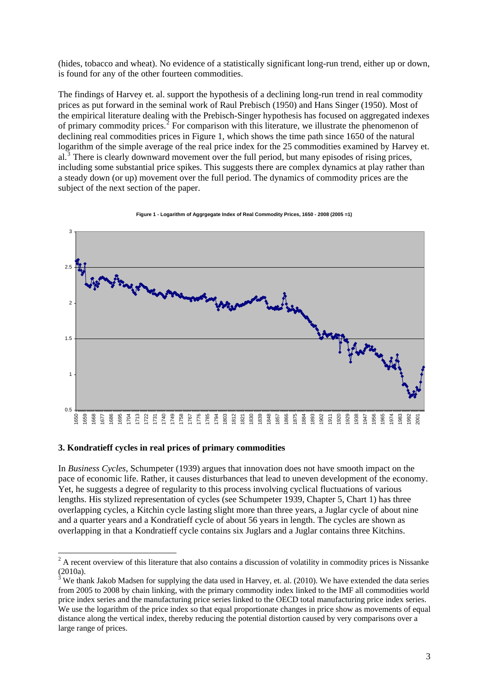(hides, tobacco and wheat). No evidence of a statistically significant long-run trend, either up or down, is found for any of the other fourteen commodities.

The findings of Harvey et. al. support the hypothesis of a declining long-run trend in real commodity prices as put forward in the seminal work of Raul Prebisch (1950) and Hans Singer (1950). Most of the empirical literature dealing with the Prebisch-Singer hypothesis has focused on aggregated indexes of primary commodity prices. $2$  For comparison with this literature, we illustrate the phenomenon of declining real commodities prices in Figure 1, which shows the time path since 1650 of the natural logarithm of the simple average of the real price index for the 25 commodities examined by Harvey et. al.<sup>[3](#page-4-1)</sup> There is clearly downward movement over the full period, but many episodes of rising prices, including some substantial price spikes. This suggests there are complex dynamics at play rather than a steady down (or up) movement over the full period. The dynamics of commodity prices are the subject of the next section of the paper.





#### **3. Kondratieff cycles in real prices of primary commodities**

-

In *Business Cycles*, Schumpeter (1939) argues that innovation does not have smooth impact on the pace of economic life. Rather, it causes disturbances that lead to uneven development of the economy. Yet, he suggests a degree of regularity to this process involving cyclical fluctuations of various lengths. His stylized representation of cycles (see Schumpeter 1939, Chapter 5, Chart 1) has three overlapping cycles, a Kitchin cycle lasting slight more than three years, a Juglar cycle of about nine and a quarter years and a Kondratieff cycle of about 56 years in length. The cycles are shown as overlapping in that a Kondratieff cycle contains six Juglars and a Juglar contains three Kitchins.

<span id="page-4-0"></span> $2^2$  A recent overview of this literature that also contains a discussion of volatility in commodity prices is Nissanke (2010a).

<span id="page-4-1"></span> $3$  We thank Jakob Madsen for supplying the data used in Harvey, et. al. (2010). We have extended the data series from 2005 to 2008 by chain linking, with the primary commodity index linked to the IMF all commodities world price index series and the manufacturing price series linked to the OECD total manufacturing price index series. We use the logarithm of the price index so that equal proportionate changes in price show as movements of equal distance along the vertical index, thereby reducing the potential distortion caused by very comparisons over a large range of prices.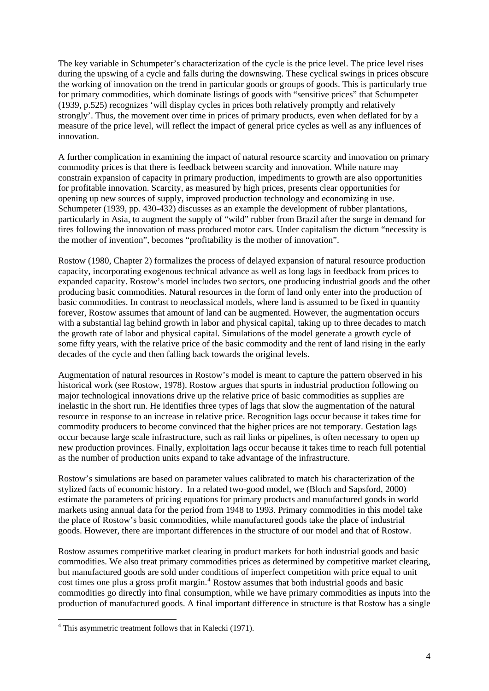The key variable in Schumpeter's characterization of the cycle is the price level. The price level rises during the upswing of a cycle and falls during the downswing. These cyclical swings in prices obscure the working of innovation on the trend in particular goods or groups of goods. This is particularly true for primary commodities, which dominate listings of goods with "sensitive prices" that Schumpeter (1939, p.525) recognizes 'will display cycles in prices both relatively promptly and relatively strongly'. Thus, the movement over time in prices of primary products, even when deflated for by a measure of the price level, will reflect the impact of general price cycles as well as any influences of innovation.

A further complication in examining the impact of natural resource scarcity and innovation on primary commodity prices is that there is feedback between scarcity and innovation. While nature may constrain expansion of capacity in primary production, impediments to growth are also opportunities for profitable innovation. Scarcity, as measured by high prices, presents clear opportunities for opening up new sources of supply, improved production technology and economizing in use. Schumpeter (1939, pp. 430-432) discusses as an example the development of rubber plantations, particularly in Asia, to augment the supply of "wild" rubber from Brazil after the surge in demand for tires following the innovation of mass produced motor cars. Under capitalism the dictum "necessity is the mother of invention", becomes "profitability is the mother of innovation".

Rostow (1980, Chapter 2) formalizes the process of delayed expansion of natural resource production capacity, incorporating exogenous technical advance as well as long lags in feedback from prices to expanded capacity. Rostow's model includes two sectors, one producing industrial goods and the other producing basic commodities. Natural resources in the form of land only enter into the production of basic commodities. In contrast to neoclassical models, where land is assumed to be fixed in quantity forever, Rostow assumes that amount of land can be augmented. However, the augmentation occurs with a substantial lag behind growth in labor and physical capital, taking up to three decades to match the growth rate of labor and physical capital. Simulations of the model generate a growth cycle of some fifty years, with the relative price of the basic commodity and the rent of land rising in the early decades of the cycle and then falling back towards the original levels.

Augmentation of natural resources in Rostow's model is meant to capture the pattern observed in his historical work (see Rostow, 1978). Rostow argues that spurts in industrial production following on major technological innovations drive up the relative price of basic commodities as supplies are inelastic in the short run. He identifies three types of lags that slow the augmentation of the natural resource in response to an increase in relative price. Recognition lags occur because it takes time for commodity producers to become convinced that the higher prices are not temporary. Gestation lags occur because large scale infrastructure, such as rail links or pipelines, is often necessary to open up new production provinces. Finally, exploitation lags occur because it takes time to reach full potential as the number of production units expand to take advantage of the infrastructure.

Rostow's simulations are based on parameter values calibrated to match his characterization of the stylized facts of economic history. In a related two-good model, we (Bloch and Sapsford, 2000) estimate the parameters of pricing equations for primary products and manufactured goods in world markets using annual data for the period from 1948 to 1993. Primary commodities in this model take the place of Rostow's basic commodities, while manufactured goods take the place of industrial goods. However, there are important differences in the structure of our model and that of Rostow.

Rostow assumes competitive market clearing in product markets for both industrial goods and basic commodities. We also treat primary commodities prices as determined by competitive market clearing, but manufactured goods are sold under conditions of imperfect competition with price equal to unit cost times one plus a gross profit margin.<sup>[4](#page-5-0)</sup> Rostow assumes that both industrial goods and basic commodities go directly into final consumption, while we have primary commodities as inputs into the production of manufactured goods. A final important difference in structure is that Rostow has a single

<span id="page-5-0"></span> 4 This asymmetric treatment follows that in Kalecki (1971).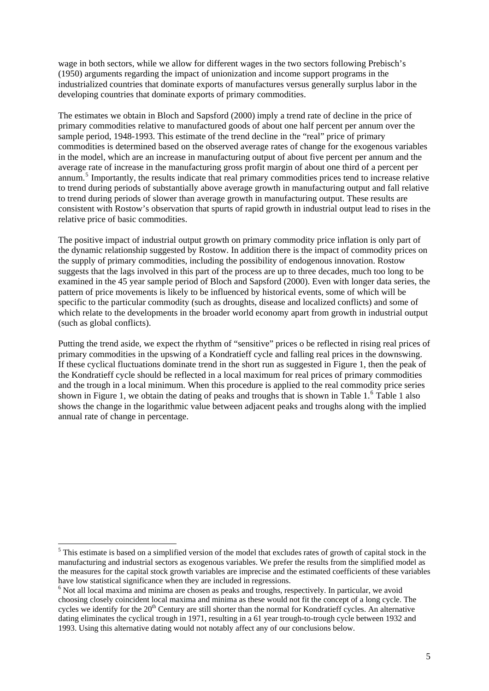wage in both sectors, while we allow for different wages in the two sectors following Prebisch's (1950) arguments regarding the impact of unionization and income support programs in the industrialized countries that dominate exports of manufactures versus generally surplus labor in the developing countries that dominate exports of primary commodities.

The estimates we obtain in Bloch and Sapsford (2000) imply a trend rate of decline in the price of primary commodities relative to manufactured goods of about one half percent per annum over the sample period, 1948-1993. This estimate of the trend decline in the "real" price of primary commodities is determined based on the observed average rates of change for the exogenous variables in the model, which are an increase in manufacturing output of about five percent per annum and the average rate of increase in the manufacturing gross profit margin of about one third of a percent per annum.<sup>[5](#page-6-0)</sup> Importantly, the results indicate that real primary commodities prices tend to increase relative to trend during periods of substantially above average growth in manufacturing output and fall relative to trend during periods of slower than average growth in manufacturing output. These results are consistent with Rostow's observation that spurts of rapid growth in industrial output lead to rises in the relative price of basic commodities.

The positive impact of industrial output growth on primary commodity price inflation is only part of the dynamic relationship suggested by Rostow. In addition there is the impact of commodity prices on the supply of primary commodities, including the possibility of endogenous innovation. Rostow suggests that the lags involved in this part of the process are up to three decades, much too long to be examined in the 45 year sample period of Bloch and Sapsford (2000). Even with longer data series, the pattern of price movements is likely to be influenced by historical events, some of which will be specific to the particular commodity (such as droughts, disease and localized conflicts) and some of which relate to the developments in the broader world economy apart from growth in industrial output (such as global conflicts).

Putting the trend aside, we expect the rhythm of "sensitive" prices o be reflected in rising real prices of primary commodities in the upswing of a Kondratieff cycle and falling real prices in the downswing. If these cyclical fluctuations dominate trend in the short run as suggested in Figure 1, then the peak of the Kondratieff cycle should be reflected in a local maximum for real prices of primary commodities and the trough in a local minimum. When this procedure is applied to the real commodity price series shown in Figure 1, we obtain the dating of peaks and troughs that is shown in Table  $1.6$  $1.6$  Table 1 also shows the change in the logarithmic value between adjacent peaks and troughs along with the implied annual rate of change in percentage.

1

<span id="page-6-0"></span><sup>&</sup>lt;sup>5</sup> This estimate is based on a simplified version of the model that excludes rates of growth of capital stock in the manufacturing and industrial sectors as exogenous variables. We prefer the results from the simplified model as the measures for the capital stock growth variables are imprecise and the estimated coefficients of these variables have low statistical significance when they are included in regressions. 6

<span id="page-6-1"></span><sup>&</sup>lt;sup>6</sup> Not all local maxima and minima are chosen as peaks and troughs, respectively. In particular, we avoid choosing closely coincident local maxima and minima as these would not fit the concept of a long cycle. The cycles we identify for the 20<sup>th</sup> Century are still shorter than the normal for Kondratieff cycles. An alternative dating eliminates the cyclical trough in 1971, resulting in a 61 year trough-to-trough cycle between 1932 and 1993. Using this alternative dating would not notably affect any of our conclusions below.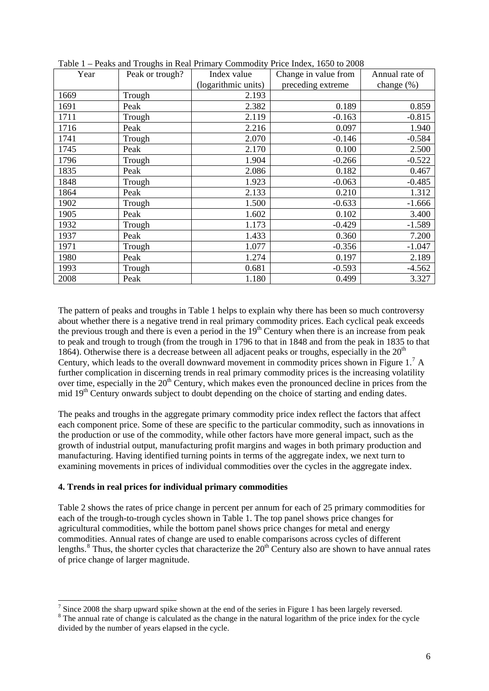| Year | Peak or trough? | Index value         | Change in value from | Annual rate of |  |
|------|-----------------|---------------------|----------------------|----------------|--|
|      |                 | (logarithmic units) | preceding extreme    | change $(\%)$  |  |
| 1669 | Trough          | 2.193               |                      |                |  |
| 1691 | Peak            | 2.382               | 0.189                | 0.859          |  |
| 1711 | Trough          | 2.119               | $-0.163$             | $-0.815$       |  |
| 1716 | Peak            | 2.216               | 0.097                | 1.940          |  |
| 1741 | Trough          | 2.070               | $-0.146$             | $-0.584$       |  |
| 1745 | Peak            | 2.170               | 0.100                | 2.500          |  |
| 1796 | Trough          | 1.904               | $-0.266$             | $-0.522$       |  |
| 1835 | Peak            | 2.086               | 0.182                | 0.467          |  |
| 1848 | Trough          | 1.923               | $-0.063$             | $-0.485$       |  |
| 1864 | Peak            | 2.133               | 0.210                | 1.312          |  |
| 1902 | Trough          | 1.500               | $-0.633$             | $-1.666$       |  |
| 1905 | Peak            | 1.602               | 0.102                | 3.400          |  |
| 1932 | Trough          | 1.173               | $-0.429$             | $-1.589$       |  |
| 1937 | Peak            | 1.433               | 0.360                | 7.200          |  |
| 1971 | Trough          | 1.077               | $-0.356$             | $-1.047$       |  |
| 1980 | Peak            | 1.274               | 0.197                | 2.189          |  |
| 1993 | Trough          | 0.681               | $-0.593$             | $-4.562$       |  |
| 2008 | Peak            | 1.180               | 0.499                | 3.327          |  |

Table 1 – Peaks and Troughs in Real Primary Commodity Price Index, 1650 to 2008

The pattern of peaks and troughs in Table 1 helps to explain why there has been so much controversy about whether there is a negative trend in real primary commodity prices. Each cyclical peak exceeds the previous trough and there is even a period in the  $19<sup>th</sup>$  Century when there is an increase from peak to peak and trough to trough (from the trough in 1796 to that in 1848 and from the peak in 1835 to that 1864). Otherwise there is a decrease between all adjacent peaks or troughs, especially in the  $20<sup>th</sup>$ Century, which leads to the overall downward movement in commodity prices shown in Figure  $1<sup>7</sup>$  $1<sup>7</sup>$  $1<sup>7</sup>$  A further complication in discerning trends in real primary commodity prices is the increasing volatility over time, especially in the 20<sup>th</sup> Century, which makes even the pronounced decline in prices from the mid 19<sup>th</sup> Century onwards subject to doubt depending on the choice of starting and ending dates.

The peaks and troughs in the aggregate primary commodity price index reflect the factors that affect each component price. Some of these are specific to the particular commodity, such as innovations in the production or use of the commodity, while other factors have more general impact, such as the growth of industrial output, manufacturing profit margins and wages in both primary production and manufacturing. Having identified turning points in terms of the aggregate index, we next turn to examining movements in prices of individual commodities over the cycles in the aggregate index.

# **4. Trends in real prices for individual primary commodities**

1

Table 2 shows the rates of price change in percent per annum for each of 25 primary commodities for each of the trough-to-trough cycles shown in Table 1. The top panel shows price changes for agricultural commodities, while the bottom panel shows price changes for metal and energy commodities. Annual rates of change are used to enable comparisons across cycles of different lengths.<sup>[8](#page-7-1)</sup> Thus, the shorter cycles that characterize the  $20<sup>th</sup>$  Century also are shown to have annual rates of price change of larger magnitude.

<span id="page-7-0"></span><sup>&</sup>lt;sup>7</sup> Since 2008 the sharp upward spike shown at the end of the series in Figure 1 has been largely reversed.

<span id="page-7-1"></span><sup>&</sup>lt;sup>8</sup> The annual rate of change is calculated as the change in the natural logarithm of the price index for the cycle divided by the number of years elapsed in the cycle.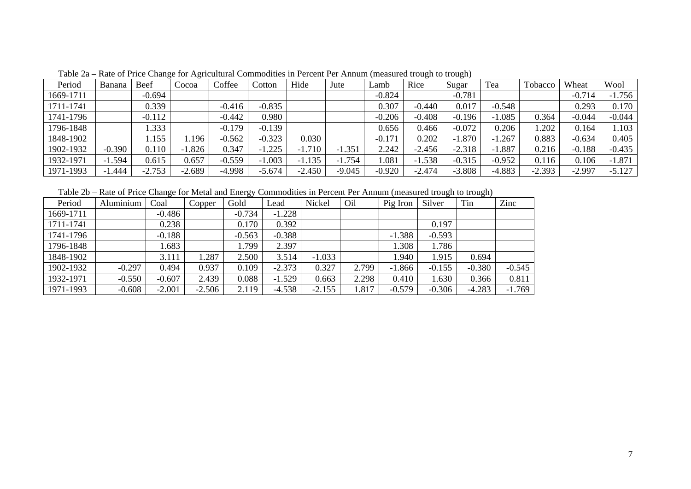| Period    | Banana   | Beef     | Cocoa    | Coffee   | Cotton   | Hide     | Jute     | ∟amb     | Rice     | Sugar    | Tea      | Tobacco  | Wheat    | Wool     |
|-----------|----------|----------|----------|----------|----------|----------|----------|----------|----------|----------|----------|----------|----------|----------|
| 1669-1711 |          | $-0.694$ |          |          |          |          |          | $-0.824$ |          | $-0.781$ |          |          | $-0.714$ | $-1.756$ |
| 1711-1741 |          | 0.339    |          | $-0.416$ | $-0.835$ |          |          | 0.307    | $-0.440$ | 0.017    | $-0.548$ |          | 0.293    | 0.170    |
| 1741-1796 |          | $-0.112$ |          | $-0.442$ | 0.980    |          |          | $-0.206$ | $-0.408$ | $-0.196$ | .085     | 0.364    | $-0.044$ | $-0.044$ |
| 1796-1848 |          | .333     |          | $-0.179$ | $-0.139$ |          |          | 0.656    | 0.466    | $-0.072$ | 0.206    | .202     | 0.164    | 1.103    |
| 1848-1902 |          | 1.155    | .196     | $-0.562$ | $-0.323$ | 0.030    |          | $-0.171$ | 0.202    | $-1.870$ | $-1.267$ | 0.883    | $-0.634$ | 0.405    |
| 1902-1932 | $-0.390$ | 0.110    | .826     | 0.347    | $-1.225$ | $-1.710$ | $-1.351$ | 2.242    | $-2.456$ | $-2.318$ | 1.887    | 0.216    | $-0.188$ | $-0.435$ |
| 1932-1971 | $-1.594$ | 0.615    | 0.657    | $-0.559$ | $-1.003$ | $-1.135$ | $-1.754$ | 1.081    | $-1.538$ | $-0.315$ | $-0.952$ | 0.116    | 0.106    | $-1.871$ |
| 1971-1993 | $-1.444$ | $-2.753$ | $-2.689$ | $-4.998$ | $-5.674$ | $-2.450$ | $-9.045$ | $-0.920$ | $-2.474$ | $-3.808$ | $-4.883$ | $-2.393$ | $-2.997$ | $-5.127$ |

Table 2a – Rate of Price Change for Agricultural Commodities in Percent Per Annum (measured trough to trough)

Table 2b – Rate of Price Change for Metal and Energy Commodities in Percent Per Annum (measured trough to trough)

| Period    | Aluminium | Coal     | Copper   | $\tilde{\phantom{a}}$<br>Gold | Lead     | Nickel   | Oil   | Pig Iron | Silver   | Tin      | Zinc     |
|-----------|-----------|----------|----------|-------------------------------|----------|----------|-------|----------|----------|----------|----------|
| 1669-1711 |           | $-0.486$ |          | $-0.734$                      | $-1.228$ |          |       |          |          |          |          |
| 1711-1741 |           | 0.238    |          | 0.170                         | 0.392    |          |       |          | 0.197    |          |          |
| 1741-1796 |           | $-0.188$ |          | $-0.563$                      | $-0.388$ |          |       | $-1.388$ | $-0.593$ |          |          |
| 1796-1848 |           | 1.683    |          | 1.799                         | 2.397    |          |       | 1.308    | 1.786    |          |          |
| 1848-1902 |           | 3.111    | 1.287    | 2.500                         | 3.514    | $-1.033$ |       | 1.940    | 1.915    | 0.694    |          |
| 1902-1932 | $-0.297$  | 0.494    | 0.937    | 0.109                         | $-2.373$ | 0.327    | 2.799 | $-1.866$ | $-0.155$ | $-0.380$ | $-0.545$ |
| 1932-1971 | $-0.550$  | $-0.607$ | 2.439    | 0.088                         | $-1.529$ | 0.663    | 2.298 | 0.410    | 1.630    | 0.366    | 0.811    |
| 1971-1993 | $-0.608$  | $-2.001$ | $-2.506$ | 2.119                         | $-4.538$ | $-2.155$ | 1.817 | $-0.579$ | $-0.306$ | $-4.283$ | $-1.769$ |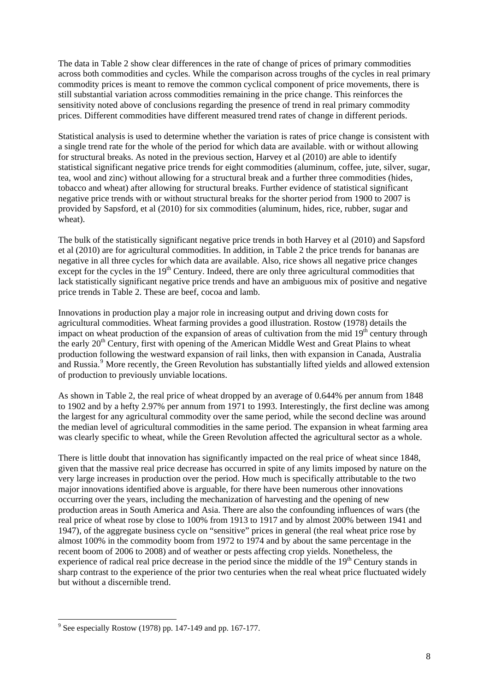The data in Table 2 show clear differences in the rate of change of prices of primary commodities across both commodities and cycles. While the comparison across troughs of the cycles in real primary commodity prices is meant to remove the common cyclical component of price movements, there is still substantial variation across commodities remaining in the price change. This reinforces the sensitivity noted above of conclusions regarding the presence of trend in real primary commodity prices. Different commodities have different measured trend rates of change in different periods.

Statistical analysis is used to determine whether the variation is rates of price change is consistent with a single trend rate for the whole of the period for which data are available. with or without allowing for structural breaks. As noted in the previous section, Harvey et al (2010) are able to identify statistical significant negative price trends for eight commodities (aluminum, coffee, jute, silver, sugar, tea, wool and zinc) without allowing for a structural break and a further three commodities (hides, tobacco and wheat) after allowing for structural breaks. Further evidence of statistical significant negative price trends with or without structural breaks for the shorter period from 1900 to 2007 is provided by Sapsford, et al (2010) for six commodities (aluminum, hides, rice, rubber, sugar and wheat).

The bulk of the statistically significant negative price trends in both Harvey et al (2010) and Sapsford et al (2010) are for agricultural commodities. In addition, in Table 2 the price trends for bananas are negative in all three cycles for which data are available. Also, rice shows all negative price changes except for the cycles in the  $19<sup>th</sup>$  Century. Indeed, there are only three agricultural commodities that lack statistically significant negative price trends and have an ambiguous mix of positive and negative price trends in Table 2. These are beef, cocoa and lamb.

Innovations in production play a major role in increasing output and driving down costs for agricultural commodities. Wheat farming provides a good illustration. Rostow (1978) details the impact on wheat production of the expansion of areas of cultivation from the mid  $19<sup>th</sup>$  century through the early 20<sup>th</sup> Century, first with opening of the American Middle West and Great Plains to wheat production following the westward expansion of rail links, then with expansion in Canada, Australia and Russia.<sup>[9](#page-9-0)</sup> More recently, the Green Revolution has substantially lifted yields and allowed extension of production to previously unviable locations.

As shown in Table 2, the real price of wheat dropped by an average of 0.644% per annum from 1848 to 1902 and by a hefty 2.97% per annum from 1971 to 1993. Interestingly, the first decline was among the largest for any agricultural commodity over the same period, while the second decline was around the median level of agricultural commodities in the same period. The expansion in wheat farming area was clearly specific to wheat, while the Green Revolution affected the agricultural sector as a whole.

There is little doubt that innovation has significantly impacted on the real price of wheat since 1848, given that the massive real price decrease has occurred in spite of any limits imposed by nature on the very large increases in production over the period. How much is specifically attributable to the two major innovations identified above is arguable, for there have been numerous other innovations occurring over the years, including the mechanization of harvesting and the opening of new production areas in South America and Asia. There are also the confounding influences of wars (the real price of wheat rose by close to 100% from 1913 to 1917 and by almost 200% between 1941 and 1947), of the aggregate business cycle on "sensitive" prices in general (the real wheat price rose by almost 100% in the commodity boom from 1972 to 1974 and by about the same percentage in the recent boom of 2006 to 2008) and of weather or pests affecting crop yields. Nonetheless, the experience of radical real price decrease in the period since the middle of the 19<sup>th</sup> Century stands in sharp contrast to the experience of the prior two centuries when the real wheat price fluctuated widely but without a discernible trend.

<span id="page-9-0"></span><sup>&</sup>lt;sup>9</sup> See especially Rostow (1978) pp. 147-149 and pp. 167-177.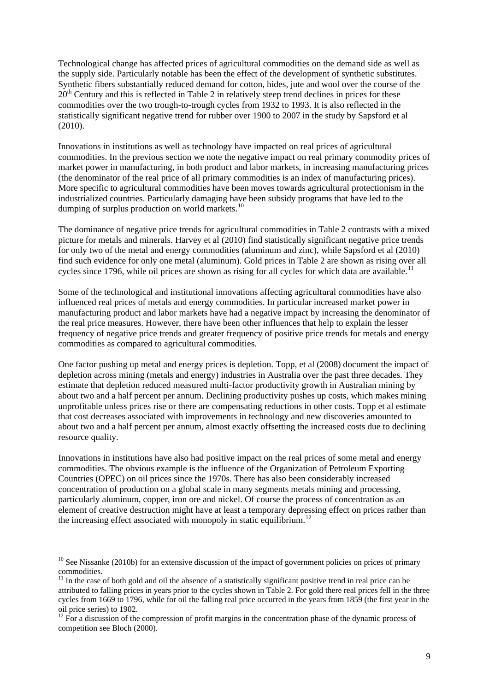Technological change has affected prices of agricultural commodities on the demand side as well as the supply side. Particularly notable has been the effect of the development of synthetic substitutes. Synthetic fibers substantially reduced demand for cotton, hides, jute and wool over the course of the 20<sup>th</sup> Century and this is reflected in Table 2 in relatively steep trend declines in prices for these commodities over the two trough-to-trough cycles from 1932 to 1993. It is also reflected in the statistically significant negative trend for rubber over 1900 to 2007 in the study by Sapsford et al (2010).

Innovations in institutions as well as technology have impacted on real prices of agricultural commodities. In the previous section we note the negative impact on real primary commodity prices of market power in manufacturing, in both product and labor markets, in increasing manufacturing prices (the denominator of the real price of all primary commodities is an index of manufacturing prices). More specific to agricultural commodities have been moves towards agricultural protectionism in the industrialized countries. Particularly damaging have been subsidy programs that have led to the dumping of surplus production on world markets. $^{10}$  $^{10}$  $^{10}$ 

The dominance of negative price trends for agricultural commodities in Table 2 contrasts with a mixed picture for metals and minerals. Harvey et al (2010) find statistically significant negative price trends for only two of the metal and energy commodities (aluminum and zinc), while Sapsford et al (2010) find such evidence for only one metal (aluminum). Gold prices in Table 2 are shown as rising over all cycles since 1796, while oil prices are shown as rising for all cycles for which data are available.<sup>[11](#page-10-1)</sup>

Some of the technological and institutional innovations affecting agricultural commodities have also influenced real prices of metals and energy commodities. In particular increased market power in manufacturing product and labor markets have had a negative impact by increasing the denominator of the real price measures. However, there have been other influences that help to explain the lesser frequency of negative price trends and greater frequency of positive price trends for metals and energy commodities as compared to agricultural commodities.

One factor pushing up metal and energy prices is depletion. Topp, et al (2008) document the impact of depletion across mining (metals and energy) industries in Australia over the past three decades. They estimate that depletion reduced measured multi-factor productivity growth in Australian mining by about two and a half percent per annum. Declining productivity pushes up costs, which makes mining unprofitable unless prices rise or there are compensating reductions in other costs. Topp et al estimate that cost decreases associated with improvements in technology and new discoveries amounted to about two and a half percent per annum, almost exactly offsetting the increased costs due to declining resource quality.

Innovations in institutions have also had positive impact on the real prices of some metal and energy commodities. The obvious example is the influence of the Organization of Petroleum Exporting Countries (OPEC) on oil prices since the 1970s. There has also been considerably increased concentration of production on a global scale in many segments metals mining and processing, particularly aluminum, copper, iron ore and nickel. Of course the process of concentration as an element of creative destruction might have at least a temporary depressing effect on prices rather than the increasing effect associated with monopoly in static equilibrium.<sup>[12](#page-10-2)</sup>

-

<span id="page-10-0"></span> $10$  See Nissanke (2010b) for an extensive discussion of the impact of government policies on prices of primary commodities.

<span id="page-10-1"></span> $11$  In the case of both gold and oil the absence of a statistically significant positive trend in real price can be attributed to falling prices in years prior to the cycles shown in Table 2. For gold there real prices fell in the three cycles from 1669 to 1796, while for oil the falling real price occurred in the years from 1859 (the first year in the oil price series) to 1902.

<span id="page-10-2"></span> $12$  For a discussion of the compression of profit margins in the concentration phase of the dynamic process of competition see Bloch (2000).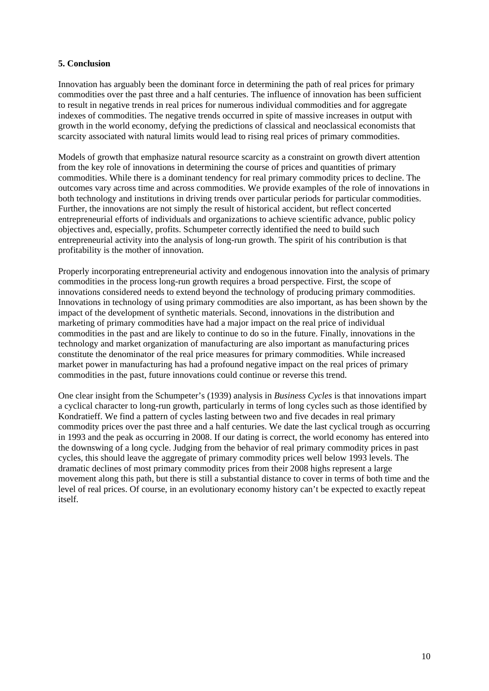# **5. Conclusion**

Innovation has arguably been the dominant force in determining the path of real prices for primary commodities over the past three and a half centuries. The influence of innovation has been sufficient to result in negative trends in real prices for numerous individual commodities and for aggregate indexes of commodities. The negative trends occurred in spite of massive increases in output with growth in the world economy, defying the predictions of classical and neoclassical economists that scarcity associated with natural limits would lead to rising real prices of primary commodities.

Models of growth that emphasize natural resource scarcity as a constraint on growth divert attention from the key role of innovations in determining the course of prices and quantities of primary commodities. While there is a dominant tendency for real primary commodity prices to decline. The outcomes vary across time and across commodities. We provide examples of the role of innovations in both technology and institutions in driving trends over particular periods for particular commodities. Further, the innovations are not simply the result of historical accident, but reflect concerted entrepreneurial efforts of individuals and organizations to achieve scientific advance, public policy objectives and, especially, profits. Schumpeter correctly identified the need to build such entrepreneurial activity into the analysis of long-run growth. The spirit of his contribution is that profitability is the mother of innovation.

Properly incorporating entrepreneurial activity and endogenous innovation into the analysis of primary commodities in the process long-run growth requires a broad perspective. First, the scope of innovations considered needs to extend beyond the technology of producing primary commodities. Innovations in technology of using primary commodities are also important, as has been shown by the impact of the development of synthetic materials. Second, innovations in the distribution and marketing of primary commodities have had a major impact on the real price of individual commodities in the past and are likely to continue to do so in the future. Finally, innovations in the technology and market organization of manufacturing are also important as manufacturing prices constitute the denominator of the real price measures for primary commodities. While increased market power in manufacturing has had a profound negative impact on the real prices of primary commodities in the past, future innovations could continue or reverse this trend.

One clear insight from the Schumpeter's (1939) analysis in *Business Cycles* is that innovations impart a cyclical character to long-run growth, particularly in terms of long cycles such as those identified by Kondratieff. We find a pattern of cycles lasting between two and five decades in real primary commodity prices over the past three and a half centuries. We date the last cyclical trough as occurring in 1993 and the peak as occurring in 2008. If our dating is correct, the world economy has entered into the downswing of a long cycle. Judging from the behavior of real primary commodity prices in past cycles, this should leave the aggregate of primary commodity prices well below 1993 levels. The dramatic declines of most primary commodity prices from their 2008 highs represent a large movement along this path, but there is still a substantial distance to cover in terms of both time and the level of real prices. Of course, in an evolutionary economy history can't be expected to exactly repeat itself.